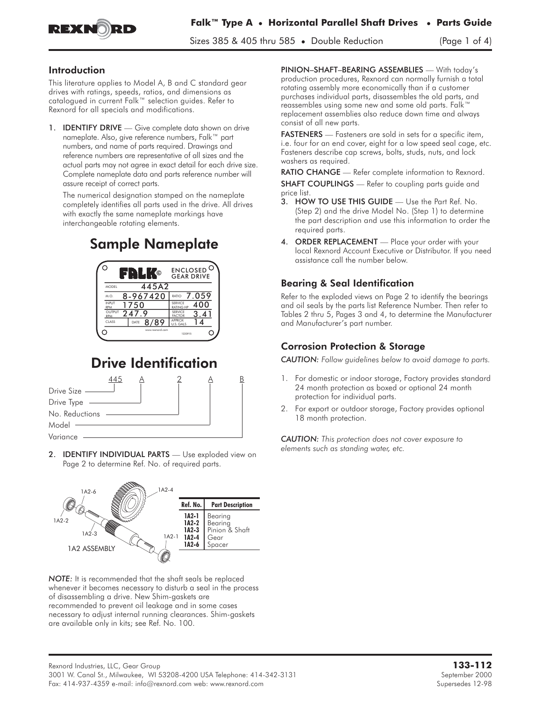

Sizes 385 & 405 thru 585 • Double Reduction (Page 1 of 4)

### Introduction

This literature applies to Model A, B and C standard gear drives with ratings, speeds, ratios, and dimensions as catalogued in current Falk™ selection guides. Refer to Rexnord for all specials and modifications.

1. **IDENTIFY DRIVE** — Give complete data shown on drive nameplate. Also, give reference numbers, Falk™ part numbers, and name of parts required. Drawings and reference numbers are representative of all sizes and the actual parts may not agree in exact detail for each drive size. Complete nameplate data and parts reference number will assure receipt of correct parts.

The numerical designation stamped on the nameplate completely identifies all parts used in the drive. All drives with exactly the same nameplate markings have interchangeable rotating elements.

# Sample Nameplate



# Drive Identification



2. **IDENTIFY INDIVIDUAL PARTS** - Use exploded view on Page 2 to determine Ref. No. of required parts.



*NOTE:* It is recommended that the shaft seals be replaced whenever it becomes necessary to disturb a seal in the process of disassembling a drive. New Shim-gaskets are recommended to prevent oil leakage and in some cases necessary to adjust internal running clearances. Shim-gaskets are available only in kits; see Ref. No. 100.

PINION–SHAFT–BEARING ASSEMBLIES — With today's production procedures, Rexnord can normally furnish a total rotating assembly more economically than if a customer purchases individual parts, disassembles the old parts, and reassembles using some new and some old parts. Falk™ replacement assemblies also reduce down time and always consist of all new parts.

FASTENERS — Fasteners are sold in sets for a specific item, i.e. four for an end cover, eight for a low speed seal cage, etc. Fasteners describe cap screws, bolts, studs, nuts, and lock washers as required.

RATIO CHANGE - Refer complete information to Rexnord. **SHAFT COUPLINGS** — Refer to coupling parts guide and price list.

- 3. HOW TO USE THIS GUIDE Use the Part Ref. No. (Step 2) and the drive Model No. (Step 1) to determine the part description and use this information to order the required parts.
- 4. ORDER REPLACEMENT Place your order with your local Rexnord Account Executive or Distributor. If you need assistance call the number below.

## Bearing & Seal Identification

Refer to the exploded views on Page 2 to identify the bearings and oil seals by the parts list Reference Number. Then refer to Tables 2 thru 5, Pages 3 and 4, to determine the Manufacturer and Manufacturer's part number.

## Corrosion Protection & Storage

*CAUTION: Follow guidelines below to avoid damage to parts.*

- 1. For domestic or indoor storage, Factory provides standard 24 month protection as boxed or optional 24 month protection for individual parts.
- 2. For export or outdoor storage, Factory provides optional 18 month protection.

*CAUTION: This protection does not cover exposure to elements such as standing water, etc.*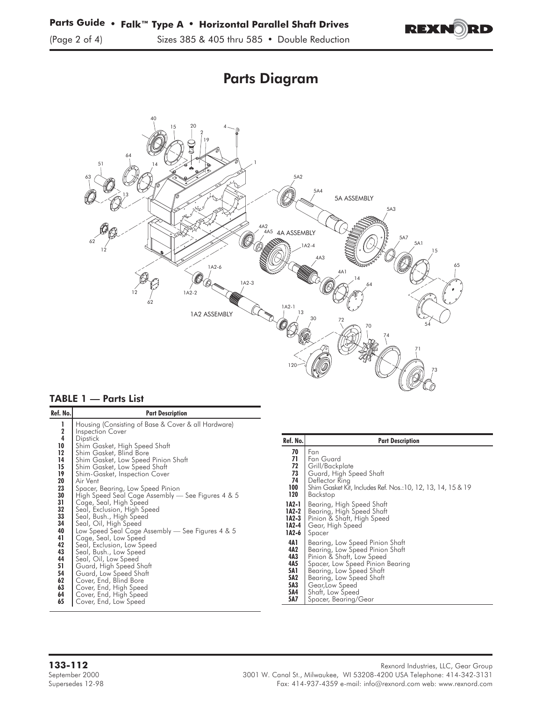

# Parts Diagram



#### TABLE 1 — Parts List

| Ref. No.                                                                                                                                                     | <b>Part Description</b>                                                                                                                                                                                                                                                                                                                                                                                                                                                                                                                                                                                                                                                                                                                                                                                    |
|--------------------------------------------------------------------------------------------------------------------------------------------------------------|------------------------------------------------------------------------------------------------------------------------------------------------------------------------------------------------------------------------------------------------------------------------------------------------------------------------------------------------------------------------------------------------------------------------------------------------------------------------------------------------------------------------------------------------------------------------------------------------------------------------------------------------------------------------------------------------------------------------------------------------------------------------------------------------------------|
| ı<br>$\frac{2}{4}$<br>10<br>12<br>14<br>15<br>19<br>20<br>23<br>30<br>31<br>32<br>33<br>34<br>40<br>41<br>42<br>43<br>44<br>51<br>54<br>62<br>63<br>64<br>65 | Housing (Consisting of Base & Cover & all Hardware)<br>Inspection Cover<br><b>Dipstick</b><br>Shim Gasket, High Speed Shaft<br>Shim Gasket, Blind Bore<br>Shim Gasket, Low Speed Pinion Shaft<br>Shim Gasket, Low Speed Shaft<br>Shim-Gasket, Inspection Cover<br>Air Vent<br>Spacer, Bearing, Low Speed Pinion<br>High Speed Seal Cage Assembly — See Figures 4 & 5<br>Cage, Seal, High Speed<br>Seal, Exclusion, High Speed<br>Seal, Bush., High Speed<br>Seal, Oil, High Speed<br>Low Speed Seal Cage Assembly — See Figures 4 & 5<br>Cage, Seal, Low Speed<br>Seal, Exclusion, Low Speed<br>Seal, Bush., Low Speed<br>Seal, Oil, Low Speed<br>Guard, High Speed Shaft<br>Guard, Low Speed Shaft<br>Cover, End, Blind Bore<br>Cover, End, High Speed<br>Cover, End, High Speed<br>Cover, End, Low Speed |
|                                                                                                                                                              |                                                                                                                                                                                                                                                                                                                                                                                                                                                                                                                                                                                                                                                                                                                                                                                                            |

| Ref. No. | <b>Part Description</b>                                     |
|----------|-------------------------------------------------------------|
| 70       | Fan                                                         |
| 71       | Fan Guard                                                   |
| 72       | Grill/Backplate                                             |
| 73       | Guard, High Speed Shaft                                     |
| 74       | Deflector Ring                                              |
| 100      | Shim Gasket Kit, Includes Ref. Nos.:10, 12, 13, 14, 15 & 19 |
| 120      | Backstop                                                    |
| 1A2-1    | Bearing, High Speed Shaft                                   |
| 1A2-2    | Bearing, High Speed Shaft                                   |
| 1A2-3    | Pinion & Shaft, High Speed                                  |
| 1A2-4    | Gear, High Speed                                            |
| 1A2-6    | Spacer                                                      |
| 4A 1     | Bearing, Low Speed Pinion Shaft                             |
| 4A2      | Bearing, Low Speed Pinion Shaft                             |
| 4A3      | Pinion & Shaft, Low Speed                                   |
| 4A5      | Spacer, Low Speed Pinion Bearing                            |
| 5A1      | Bearing, Low Speed Shaft                                    |
| 5A2      | Bearing, Low Speed Shaft                                    |
| 5A3      | Gear, Low Speed                                             |
| 5A4      | Shaft, Low Speed                                            |
| 5A7      | Spacer, Bearing/Gear                                        |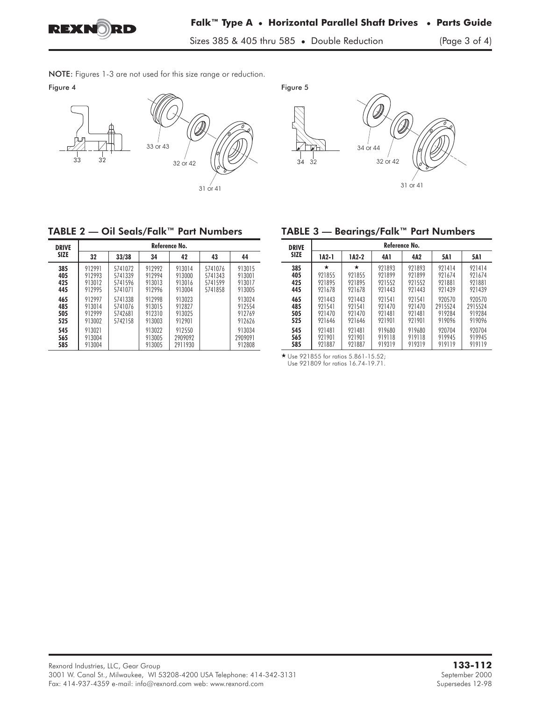

NOTE: Figures 1-3 are not used for this size range or reduction.<br>Figure 4





# TABLE 2 — Oil Seals/Falk™ Part Numbers

| <b>DRIVE</b>             | Reference No.                        |                                          |                                      |                                      |                                          |                                      |
|--------------------------|--------------------------------------|------------------------------------------|--------------------------------------|--------------------------------------|------------------------------------------|--------------------------------------|
| <b>SIZE</b>              | 32                                   | 33/38                                    | 34                                   | 42                                   | 43                                       | 44                                   |
| 385<br>405<br>425<br>445 | 912991<br>912993<br>913012<br>912995 | 5741072<br>5741339<br>5741596<br>5741071 | 912992<br>912994<br>913013<br>912996 | 913014<br>913000<br>913016<br>913004 | 5741076<br>5741343<br>5741599<br>5741858 | 913015<br>913001<br>913017<br>913005 |
| 465<br>485<br>505<br>525 | 912997<br>913014<br>912999<br>913002 | 5741338<br>5741076<br>5742681<br>5742158 | 912998<br>913015<br>912310<br>913003 | 913023<br>912827<br>913025<br>912901 |                                          | 913024<br>912554<br>912769<br>912626 |
| 545<br>565<br>585        | 913021<br>913004<br>913004           |                                          | 913022<br>913005<br>913005           | 912550<br>2909092<br>2911930         |                                          | 913034<br>2909091<br>912808          |

## TABLE 3 — Bearings/Falk™ Part Numbers

| <b>DRIVE</b> | Reference No. |        |        |        |            |         |
|--------------|---------------|--------|--------|--------|------------|---------|
| <b>SIZE</b>  | 1A2-1         | 1A2-2  | 4A 1   | 4A2    | <b>5A1</b> | 5A 1    |
| 385          | *             | *      | 921893 | 921893 | 921414     | 921414  |
| 405          | 921855        | 921855 | 921899 | 921899 | 921674     | 921674  |
| 425          | 921895        | 921895 | 921552 | 921552 | 921881     | 921881  |
| 445          | 921678        | 921678 | 921443 | 921443 | 921439     | 921439  |
| 465          | 921443        | 921443 | 921541 | 921541 | 920570     | 920570  |
| 485          | 921541        | 921541 | 921470 | 921470 | 2915524    | 2915524 |
| 505          | 921470        | 921470 | 921481 | 921481 | 919284     | 919284  |
| 525          | 921646        | 921646 | 921901 | 921901 | 919096     | 919096  |
| 545          | 921481        | 921481 | 919680 | 919680 | 920704     | 920704  |
| 565          | 921901        | 921901 | 919118 | 919118 | 919945     | 919945  |
| 585          | 921887        | 921887 | 919319 | 919319 | 919119     | 919119  |

- Use 921855 for ratios 5.861-15.52; Use 921809 for ratios 16.74-19.71.